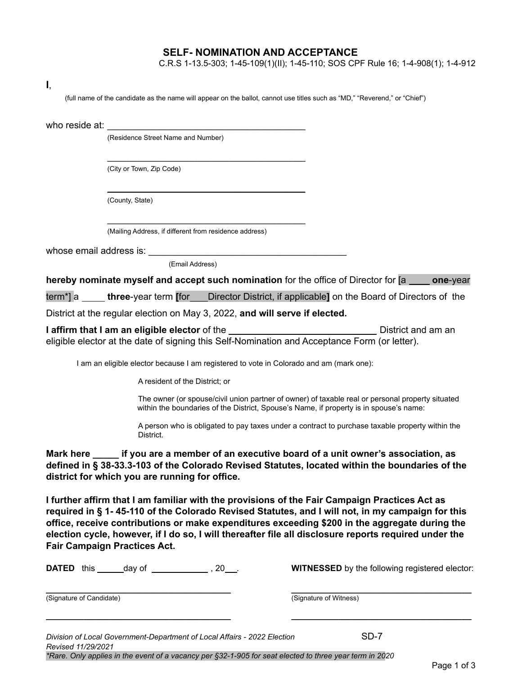## **SELF- NOMINATION AND ACCEPTANCE**

C.R.S 1-13.5-303; 1-45-109(1)(II); 1-45-110; SOS CPF Rule 16; 1-4-908(1); 1-4-912

(full name of the candidate as the name will appear on the ballot, cannot use titles such as "MD," "Reverend," or "Chief")

who reside at:

(Residence Street Name and Number)

(City or Town, Zip Code)

(County, State)

(Mailing Address, if different from residence address)

\_\_\_\_\_\_\_\_\_\_\_\_\_\_\_\_\_\_\_\_\_\_\_\_\_\_\_\_\_\_\_\_\_\_\_\_\_\_

 $\overline{\phantom{a}}$  , where  $\overline{\phantom{a}}$  , where  $\overline{\phantom{a}}$  , where  $\overline{\phantom{a}}$  , where  $\overline{\phantom{a}}$ 

\_\_\_\_\_\_\_\_\_\_\_\_\_\_\_\_\_\_\_\_\_\_\_\_\_\_\_\_\_\_\_\_\_\_\_\_\_\_

whose email address is:

(Email Address)

**hereby nominate myself and accept such nomination** for the office of Director for [a **one**-year

term\*] a **three**-year term **[**for Director District, if applicable**]** on the Board of Directors of the

District at the regular election on May 3, 2022, **and will serve if elected.**

**I affirm that I** am an eligible elector of the District and am an an eligible elector at the date of signing this Self-Nomination and Acceptance Form (or letter).

I am an eligible elector because I am registered to vote in Colorado and am (mark one):

A resident of the District; or

The owner (or spouse/civil union partner of owner) of taxable real or personal property situated within the boundaries of the District, Spouse's Name, if property is in spouse's name:

A person who is obligated to pay taxes under a contract to purchase taxable property within the District.

**Mark here \_\_\_\_\_ if you are a member of an executive board of a unit owner's association, as defined in § 38-33.3-103 of the Colorado Revised Statutes, located within the boundaries of the district for which you are running for office.**

**I further affirm that I am familiar with the provisions of the Fair Campaign Practices Act as** required in § 1-45-110 of the Colorado Revised Statutes, and I will not, in my campaign for this **office, receive contributions or make expenditures exceeding \$200 in the aggregate during the election cycle, however, if I do so, I will thereafter file all disclosure reports required under the Fair Campaign Practices Act.**

**\_\_\_\_\_\_\_\_\_\_\_\_\_\_\_\_\_\_\_\_\_\_\_\_\_\_\_\_\_\_\_\_\_\_\_\_\_\_\_ \_\_\_\_\_\_\_\_\_\_\_\_\_\_\_\_\_\_\_\_\_\_\_\_\_\_\_\_\_\_\_\_\_\_\_\_\_\_**

**DATED** this day of  $\qquad 20$ . **WITNESSED** by the following registered elector:

**\_\_\_\_\_\_\_\_\_\_\_\_\_\_\_\_\_\_\_\_\_\_\_\_\_\_\_\_\_\_\_\_\_\_\_\_\_\_\_ \_\_\_\_\_\_\_\_\_\_\_\_\_\_\_\_\_\_\_\_\_\_\_\_\_\_\_\_\_\_\_\_\_\_\_\_\_\_** (Signature of Candidate) (Signature of Witness)

*Division of Local Government-Department of Local Affairs - 2022 Election* SD-7 *Revised 11/29/2021*

*\*Rare. Only applies in the event of a vacancy per §32-1-905 for seat elected to three year term in 2020*